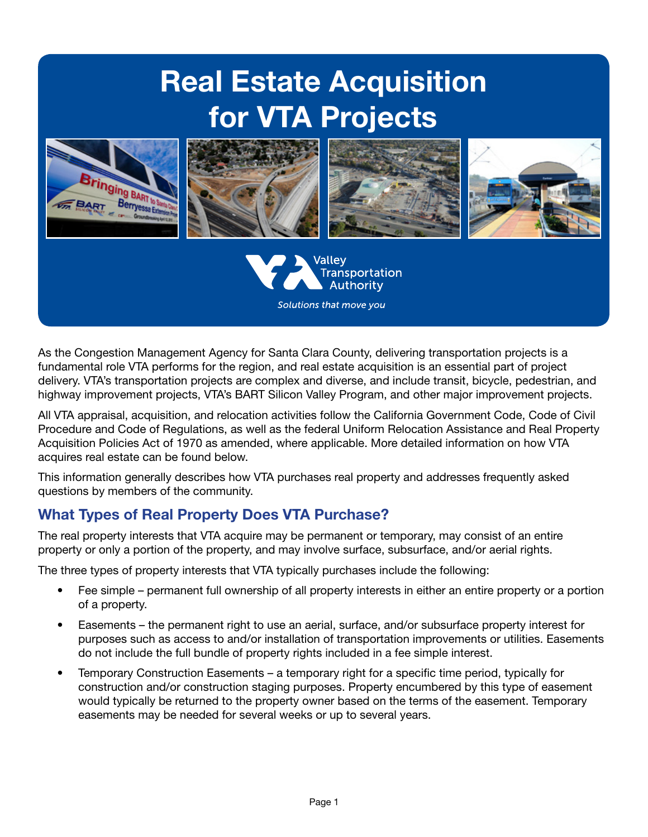# Real Estate Acquisition for VTA Projects



As the Congestion Management Agency for Santa Clara County, delivering transportation projects is a fundamental role VTA performs for the region, and real estate acquisition is an essential part of project delivery. VTA's transportation projects are complex and diverse, and include transit, bicycle, pedestrian, and highway improvement projects, VTA's BART Silicon Valley Program, and other major improvement projects.

All VTA appraisal, acquisition, and relocation activities follow the California Government Code, Code of Civil Procedure and Code of Regulations, as well as the federal Uniform Relocation Assistance and Real Property Acquisition Policies Act of 1970 as amended, where applicable. More detailed information on how VTA acquires real estate can be found below.

This information generally describes how VTA purchases real property and addresses frequently asked questions by members of the community.

## What Types of Real Property Does VTA Purchase?

The real property interests that VTA acquire may be permanent or temporary, may consist of an entire property or only a portion of the property, and may involve surface, subsurface, and/or aerial rights.

The three types of property interests that VTA typically purchases include the following:

- Fee simple permanent full ownership of all property interests in either an entire property or a portion of a property.
- Easements the permanent right to use an aerial, surface, and/or subsurface property interest for purposes such as access to and/or installation of transportation improvements or utilities. Easements do not include the full bundle of property rights included in a fee simple interest.
- Temporary Construction Easements a temporary right for a specific time period, typically for construction and/or construction staging purposes. Property encumbered by this type of easement would typically be returned to the property owner based on the terms of the easement. Temporary easements may be needed for several weeks or up to several years.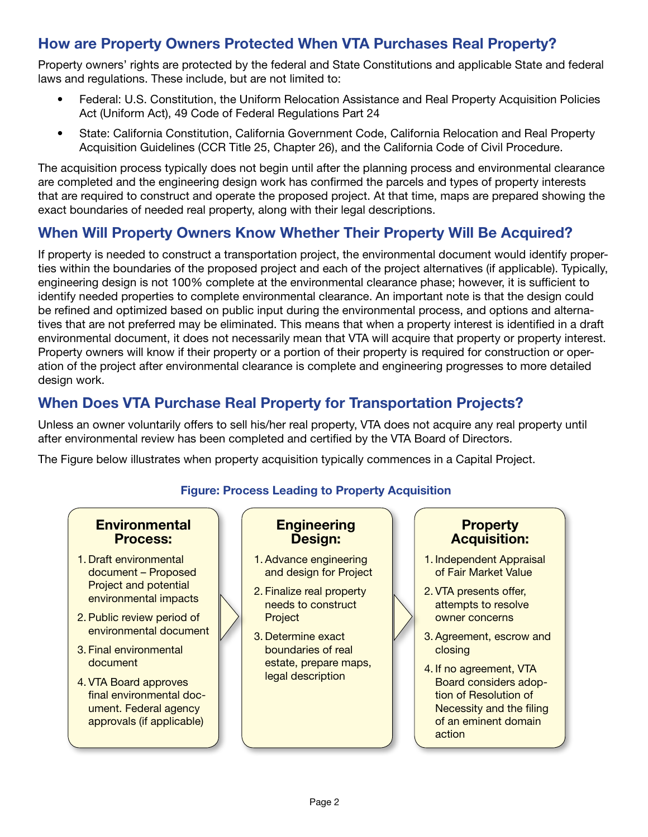## How are Property Owners Protected When VTA Purchases Real Property?

Property owners' rights are protected by the federal and State Constitutions and applicable State and federal laws and regulations. These include, but are not limited to:

- Federal: U.S. Constitution, the Uniform Relocation Assistance and Real Property Acquisition Policies Act (Uniform Act), 49 Code of Federal Regulations Part 24
- State: California Constitution, California Government Code, California Relocation and Real Property Acquisition Guidelines (CCR Title 25, Chapter 26), and the California Code of Civil Procedure.

The acquisition process typically does not begin until after the planning process and environmental clearance are completed and the engineering design work has confirmed the parcels and types of property interests that are required to construct and operate the proposed project. At that time, maps are prepared showing the exact boundaries of needed real property, along with their legal descriptions.

## When Will Property Owners Know Whether Their Property Will Be Acquired?

If property is needed to construct a transportation project, the environmental document would identify properties within the boundaries of the proposed project and each of the project alternatives (if applicable). Typically, engineering design is not 100% complete at the environmental clearance phase; however, it is sufficient to identify needed properties to complete environmental clearance. An important note is that the design could be refined and optimized based on public input during the environmental process, and options and alternatives that are not preferred may be eliminated. This means that when a property interest is identified in a draft environmental document, it does not necessarily mean that VTA will acquire that property or property interest. Property owners will know if their property or a portion of their property is required for construction or operation of the project after environmental clearance is complete and engineering progresses to more detailed design work.

# When Does VTA Purchase Real Property for Transportation Projects?

Unless an owner voluntarily offers to sell his/her real property, VTA does not acquire any real property until after environmental review has been completed and certified by the VTA Board of Directors.

The Figure below illustrates when property acquisition typically commences in a Capital Project.

#### Figure: Process Leading to Property Acquisition

#### **Environmental** Process:

- 1. Draft environmental document – Proposed Project and potential environmental impacts
- 2. Public review period of environmental document
- 3. Final environmental document
- 4. VTA Board approves final environmental document. Federal agency approvals (if applicable)

## **Engineering** Design:

- 1. Advance engineering and design for Project
- 2. Finalize real property needs to construct Project
- 3. Determine exact boundaries of real estate, prepare maps, legal description

## **Property** Acquisition:

- 1. Independent Appraisal of Fair Market Value
- 2. VTA presents offer, attempts to resolve owner concerns
- 3. Agreement, escrow and closing
- 4. If no agreement, VTA Board considers adoption of Resolution of Necessity and the filing of an eminent domain action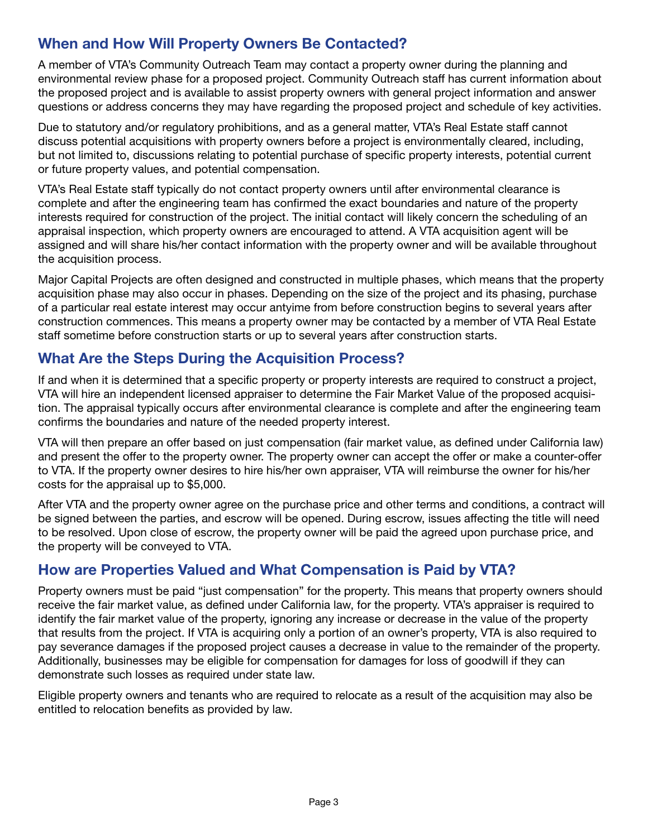## When and How Will Property Owners Be Contacted?

A member of VTA's Community Outreach Team may contact a property owner during the planning and environmental review phase for a proposed project. Community Outreach staff has current information about the proposed project and is available to assist property owners with general project information and answer questions or address concerns they may have regarding the proposed project and schedule of key activities.

Due to statutory and/or regulatory prohibitions, and as a general matter, VTA's Real Estate staff cannot discuss potential acquisitions with property owners before a project is environmentally cleared, including, but not limited to, discussions relating to potential purchase of specific property interests, potential current or future property values, and potential compensation.

VTA's Real Estate staff typically do not contact property owners until after environmental clearance is complete and after the engineering team has confirmed the exact boundaries and nature of the property interests required for construction of the project. The initial contact will likely concern the scheduling of an appraisal inspection, which property owners are encouraged to attend. A VTA acquisition agent will be assigned and will share his/her contact information with the property owner and will be available throughout the acquisition process.

Major Capital Projects are often designed and constructed in multiple phases, which means that the property acquisition phase may also occur in phases. Depending on the size of the project and its phasing, purchase of a particular real estate interest may occur antyime from before construction begins to several years after construction commences. This means a property owner may be contacted by a member of VTA Real Estate staff sometime before construction starts or up to several years after construction starts.

## What Are the Steps During the Acquisition Process?

If and when it is determined that a specific property or property interests are required to construct a project, VTA will hire an independent licensed appraiser to determine the Fair Market Value of the proposed acquisition. The appraisal typically occurs after environmental clearance is complete and after the engineering team confirms the boundaries and nature of the needed property interest.

VTA will then prepare an offer based on just compensation (fair market value, as defined under California law) and present the offer to the property owner. The property owner can accept the offer or make a counter-offer to VTA. If the property owner desires to hire his/her own appraiser, VTA will reimburse the owner for his/her costs for the appraisal up to \$5,000.

After VTA and the property owner agree on the purchase price and other terms and conditions, a contract will be signed between the parties, and escrow will be opened. During escrow, issues affecting the title will need to be resolved. Upon close of escrow, the property owner will be paid the agreed upon purchase price, and the property will be conveyed to VTA.

## How are Properties Valued and What Compensation is Paid by VTA?

Property owners must be paid "just compensation" for the property. This means that property owners should receive the fair market value, as defined under California law, for the property. VTA's appraiser is required to identify the fair market value of the property, ignoring any increase or decrease in the value of the property that results from the project. If VTA is acquiring only a portion of an owner's property, VTA is also required to pay severance damages if the proposed project causes a decrease in value to the remainder of the property. Additionally, businesses may be eligible for compensation for damages for loss of goodwill if they can demonstrate such losses as required under state law.

Eligible property owners and tenants who are required to relocate as a result of the acquisition may also be entitled to relocation benefits as provided by law.